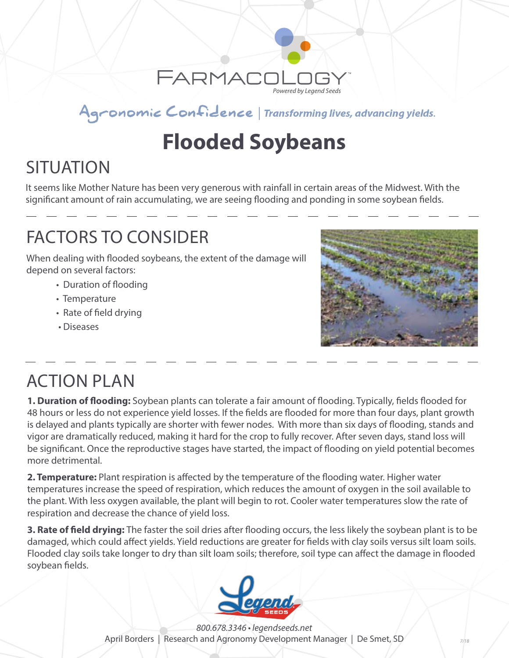

#### Agronomic Confidence | Transforming lives, advancing yields.

# **Flooded Soybeans**

## **SITUATION**

It seems like Mother Nature has been very generous with rainfall in certain areas of the Midwest. With the significant amount of rain accumulating, we are seeing flooding and ponding in some soybean fields.

#### FACTORS TO CONSIDER

When dealing with flooded soybeans, the extent of the damage will depend on several factors:

- Duration of flooding
- Temperature
- Rate of field drying
- Diseases



#### ACTION PLAN

**1. Duration of flooding:** Soybean plants can tolerate a fair amount of flooding. Typically, fields flooded for 48 hours or less do not experience yield losses. If the fields are flooded for more than four days, plant growth is delayed and plants typically are shorter with fewer nodes. With more than six days of flooding, stands and vigor are dramatically reduced, making it hard for the crop to fully recover. After seven days, stand loss will be significant. Once the reproductive stages have started, the impact of flooding on yield potential becomes more detrimental.

**2. Temperature:** Plant respiration is affected by the temperature of the flooding water. Higher water temperatures increase the speed of respiration, which reduces the amount of oxygen in the soil available to the plant. With less oxygen available, the plant will begin to rot. Cooler water temperatures slow the rate of respiration and decrease the chance of yield loss.

**3. Rate of field drying:** The faster the soil dries after flooding occurs, the less likely the soybean plant is to be damaged, which could affect yields. Yield reductions are greater for fields with clay soils versus silt loam soils. Flooded clay soils take longer to dry than silt loam soils; therefore, soil type can affect the damage in flooded soybean fields.



*800.678.3346 • legendseeds.net* April Borders | Research and Agronomy Development Manager | De Smet, SD